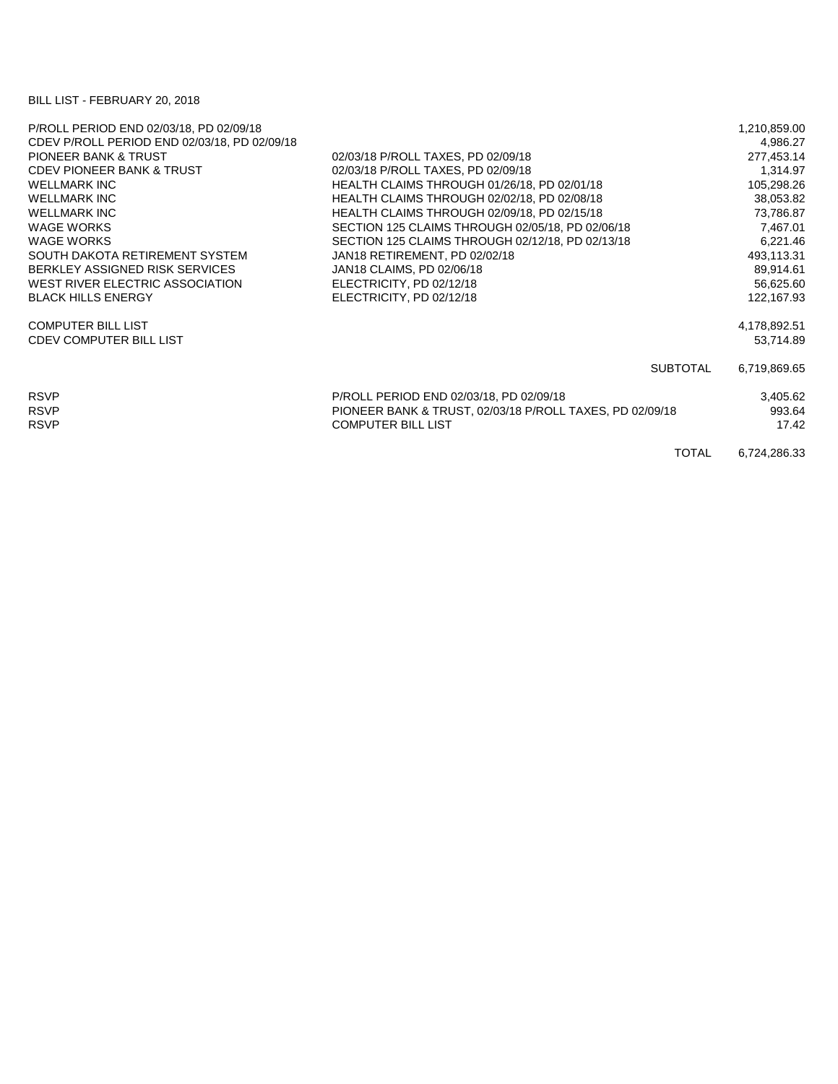## BILL LIST - FEBRUARY 20, 2018

| P/ROLL PERIOD END 02/03/18, PD 02/09/18      |                                                          | 1,210,859.00 |
|----------------------------------------------|----------------------------------------------------------|--------------|
| CDEV P/ROLL PERIOD END 02/03/18, PD 02/09/18 |                                                          | 4,986.27     |
| <b>PIONEER BANK &amp; TRUST</b>              | 02/03/18 P/ROLL TAXES, PD 02/09/18                       | 277,453.14   |
| <b>CDEV PIONEER BANK &amp; TRUST</b>         | 02/03/18 P/ROLL TAXES, PD 02/09/18                       | 1,314.97     |
| <b>WELLMARK INC</b>                          | HEALTH CLAIMS THROUGH 01/26/18, PD 02/01/18              | 105,298.26   |
| <b>WELLMARK INC</b>                          | HEALTH CLAIMS THROUGH 02/02/18, PD 02/08/18              | 38,053.82    |
| <b>WELLMARK INC</b>                          | HEALTH CLAIMS THROUGH 02/09/18, PD 02/15/18              | 73,786.87    |
| <b>WAGE WORKS</b>                            | SECTION 125 CLAIMS THROUGH 02/05/18, PD 02/06/18         | 7,467.01     |
| <b>WAGE WORKS</b>                            | SECTION 125 CLAIMS THROUGH 02/12/18, PD 02/13/18         | 6,221.46     |
| SOUTH DAKOTA RETIREMENT SYSTEM               | JAN18 RETIREMENT, PD 02/02/18                            | 493,113.31   |
| BERKLEY ASSIGNED RISK SERVICES               | JAN18 CLAIMS, PD 02/06/18                                | 89,914.61    |
| WEST RIVER ELECTRIC ASSOCIATION              | ELECTRICITY, PD 02/12/18                                 | 56,625.60    |
| <b>BLACK HILLS ENERGY</b>                    | ELECTRICITY, PD 02/12/18                                 | 122,167.93   |
| <b>COMPUTER BILL LIST</b>                    |                                                          | 4,178,892.51 |
| <b>CDEV COMPUTER BILL LIST</b>               |                                                          | 53,714.89    |
|                                              | <b>SUBTOTAL</b>                                          | 6,719,869.65 |
| <b>RSVP</b>                                  | P/ROLL PERIOD END 02/03/18, PD 02/09/18                  | 3,405.62     |
| <b>RSVP</b>                                  | PIONEER BANK & TRUST, 02/03/18 P/ROLL TAXES, PD 02/09/18 | 993.64       |
| <b>RSVP</b>                                  | <b>COMPUTER BILL LIST</b>                                | 17.42        |
|                                              | <b>TOTAL</b>                                             | 6,724,286.33 |
|                                              |                                                          |              |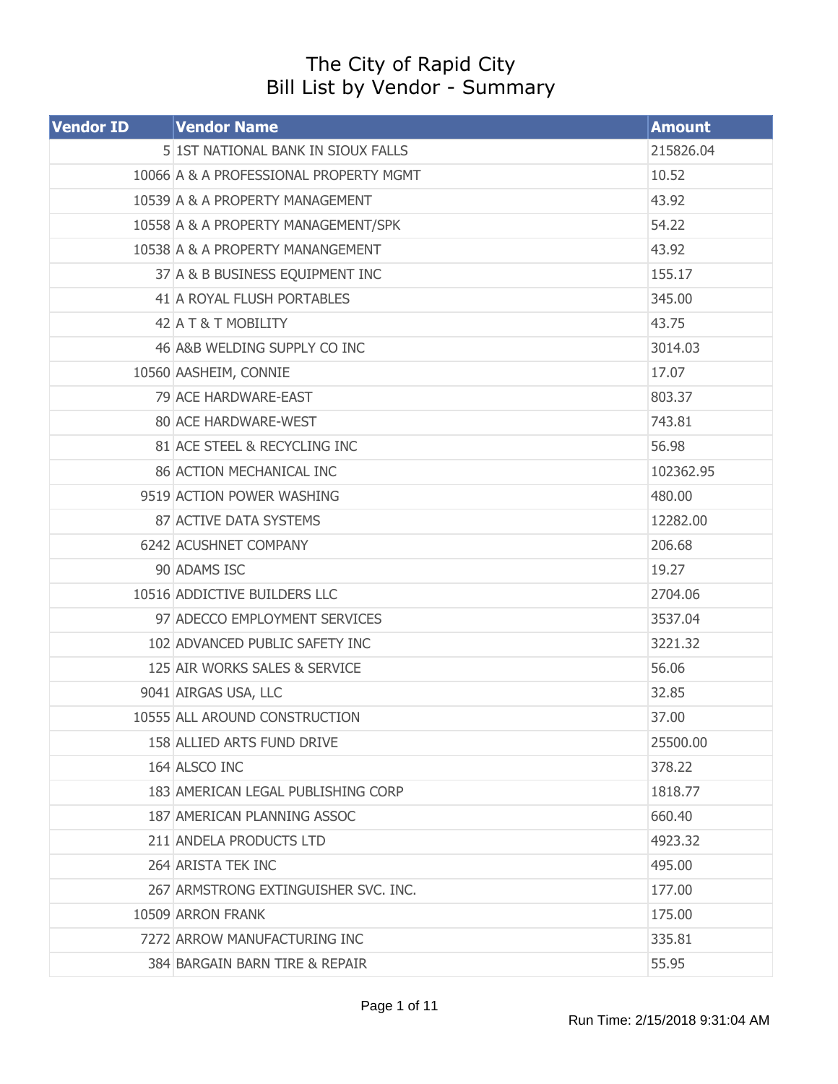## The City of Rapid City Bill List by Vendor - Summary

| <b>Vendor ID</b> | <b>Vendor Name</b>                     | <b>Amount</b> |
|------------------|----------------------------------------|---------------|
|                  | 5 1ST NATIONAL BANK IN SIOUX FALLS     | 215826.04     |
|                  | 10066 A & A PROFESSIONAL PROPERTY MGMT | 10.52         |
|                  | 10539 A & A PROPERTY MANAGEMENT        | 43.92         |
|                  | 10558 A & A PROPERTY MANAGEMENT/SPK    | 54.22         |
|                  | 10538 A & A PROPERTY MANANGEMENT       | 43.92         |
|                  | 37 A & B BUSINESS EQUIPMENT INC        | 155.17        |
|                  | 41 A ROYAL FLUSH PORTABLES             | 345.00        |
|                  | 42 A T & T MOBILITY                    | 43.75         |
|                  | 46 A&B WELDING SUPPLY CO INC           | 3014.03       |
|                  | 10560 AASHEIM, CONNIE                  | 17.07         |
|                  | 79 ACE HARDWARE-EAST                   | 803.37        |
|                  | 80 ACE HARDWARE-WEST                   | 743.81        |
|                  | 81 ACE STEEL & RECYCLING INC           | 56.98         |
|                  | 86 ACTION MECHANICAL INC               | 102362.95     |
|                  | 9519 ACTION POWER WASHING              | 480.00        |
|                  | 87 ACTIVE DATA SYSTEMS                 | 12282.00      |
|                  | 6242 ACUSHNET COMPANY                  | 206.68        |
|                  | 90 ADAMS ISC                           | 19.27         |
|                  | 10516 ADDICTIVE BUILDERS LLC           | 2704.06       |
|                  | 97 ADECCO EMPLOYMENT SERVICES          | 3537.04       |
|                  | 102 ADVANCED PUBLIC SAFETY INC         | 3221.32       |
|                  | 125 AIR WORKS SALES & SERVICE          | 56.06         |
|                  | 9041 AIRGAS USA, LLC                   | 32.85         |
|                  | 10555 ALL AROUND CONSTRUCTION          | 37.00         |
|                  | 158 ALLIED ARTS FUND DRIVE             | 25500.00      |
|                  | 164 ALSCO INC                          | 378.22        |
|                  | 183 AMERICAN LEGAL PUBLISHING CORP     | 1818.77       |
|                  | 187 AMERICAN PLANNING ASSOC            | 660.40        |
|                  | 211 ANDELA PRODUCTS LTD                | 4923.32       |
|                  | 264 ARISTA TEK INC                     | 495.00        |
|                  | 267 ARMSTRONG EXTINGUISHER SVC. INC.   | 177.00        |
|                  | 10509 ARRON FRANK                      | 175.00        |
|                  | 7272 ARROW MANUFACTURING INC           | 335.81        |
|                  | 384 BARGAIN BARN TIRE & REPAIR         | 55.95         |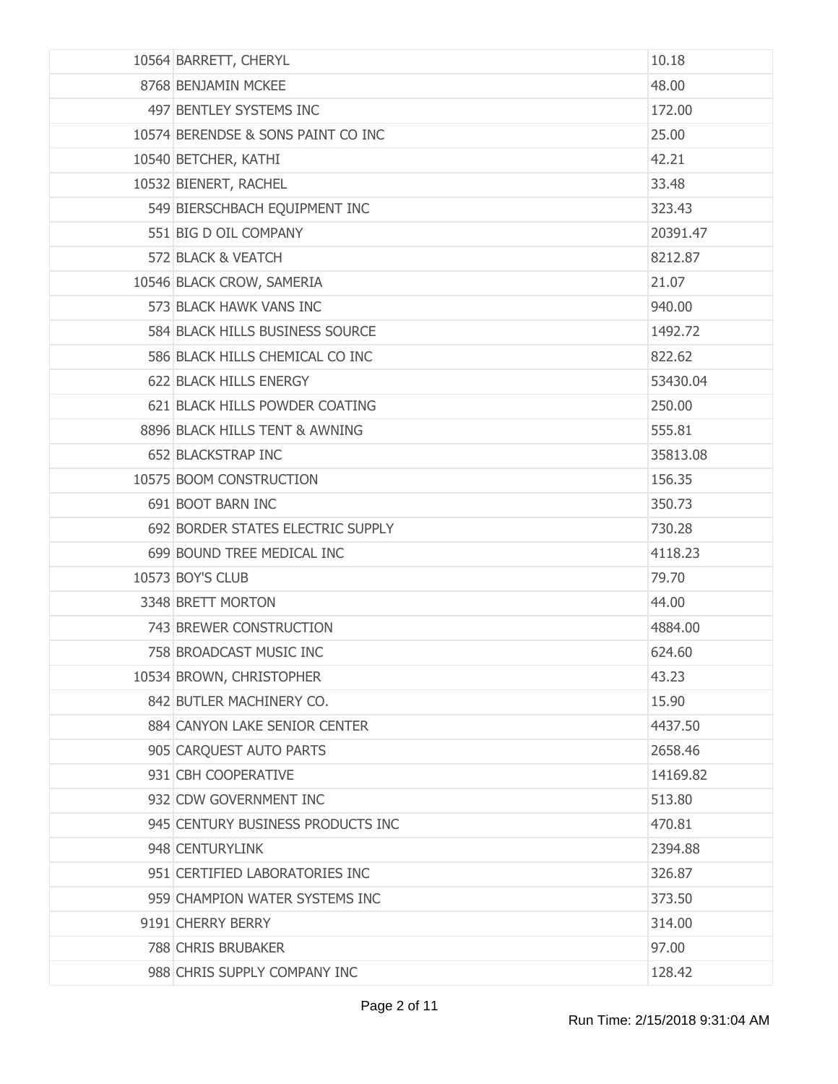| 10564 BARRETT, CHERYL              | 10.18    |
|------------------------------------|----------|
| 8768 BENJAMIN MCKEE                | 48.00    |
| 497 BENTLEY SYSTEMS INC            | 172.00   |
| 10574 BERENDSE & SONS PAINT CO INC | 25.00    |
| 10540 BETCHER, KATHI               | 42.21    |
| 10532 BIENERT, RACHEL              | 33.48    |
| 549 BIERSCHBACH EQUIPMENT INC      | 323.43   |
| 551 BIG D OIL COMPANY              | 20391.47 |
| 572 BLACK & VEATCH                 | 8212.87  |
| 10546 BLACK CROW, SAMERIA          | 21.07    |
| 573 BLACK HAWK VANS INC            | 940.00   |
| 584 BLACK HILLS BUSINESS SOURCE    | 1492.72  |
| 586 BLACK HILLS CHEMICAL CO INC    | 822.62   |
| 622 BLACK HILLS ENERGY             | 53430.04 |
| 621 BLACK HILLS POWDER COATING     | 250.00   |
| 8896 BLACK HILLS TENT & AWNING     | 555.81   |
| 652 BLACKSTRAP INC                 | 35813.08 |
| 10575 BOOM CONSTRUCTION            | 156.35   |
| 691 BOOT BARN INC                  | 350.73   |
| 692 BORDER STATES ELECTRIC SUPPLY  | 730.28   |
| 699 BOUND TREE MEDICAL INC         | 4118.23  |
| 10573 BOY'S CLUB                   | 79.70    |
| 3348 BRETT MORTON                  | 44.00    |
| 743 BREWER CONSTRUCTION            | 4884.00  |
| 758 BROADCAST MUSIC INC            | 624.60   |
| 10534 BROWN, CHRISTOPHER           | 43.23    |
| 842 BUTLER MACHINERY CO.           | 15.90    |
| 884 CANYON LAKE SENIOR CENTER      | 4437.50  |
| 905 CARQUEST AUTO PARTS            | 2658.46  |
| 931 CBH COOPERATIVE                | 14169.82 |
| 932 CDW GOVERNMENT INC             | 513.80   |
| 945 CENTURY BUSINESS PRODUCTS INC  | 470.81   |
| 948 CENTURYLINK                    | 2394.88  |
| 951 CERTIFIED LABORATORIES INC     | 326.87   |
| 959 CHAMPION WATER SYSTEMS INC     | 373.50   |
| 9191 CHERRY BERRY                  | 314.00   |
| 788 CHRIS BRUBAKER                 | 97.00    |
| 988 CHRIS SUPPLY COMPANY INC       | 128.42   |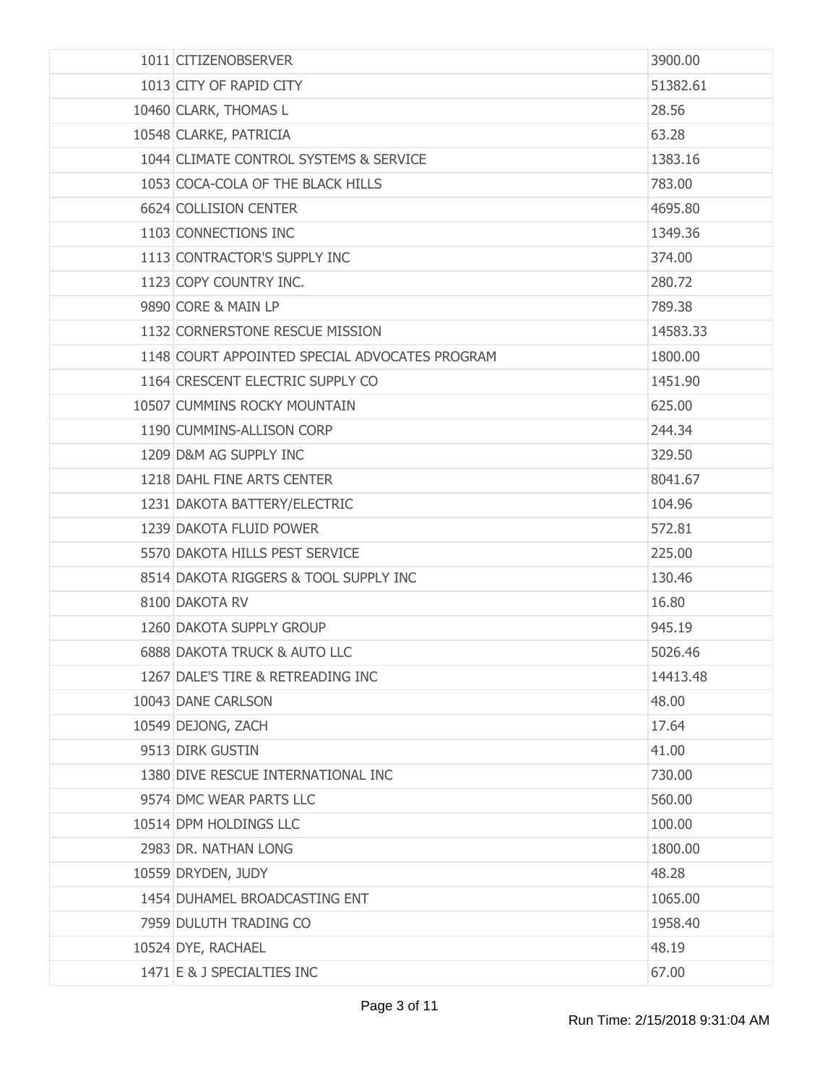| 1011 CITIZENOBSERVER                           | 3900.00  |
|------------------------------------------------|----------|
| 1013 CITY OF RAPID CITY                        | 51382.61 |
| 10460 CLARK, THOMAS L                          | 28.56    |
| 10548 CLARKE, PATRICIA                         | 63.28    |
| 1044 CLIMATE CONTROL SYSTEMS & SERVICE         | 1383.16  |
| 1053 COCA-COLA OF THE BLACK HILLS              | 783.00   |
| 6624 COLLISION CENTER                          | 4695.80  |
| 1103 CONNECTIONS INC                           | 1349.36  |
| 1113 CONTRACTOR'S SUPPLY INC                   | 374.00   |
| 1123 COPY COUNTRY INC.                         | 280.72   |
| 9890 CORE & MAIN LP                            | 789.38   |
| 1132 CORNERSTONE RESCUE MISSION                | 14583.33 |
| 1148 COURT APPOINTED SPECIAL ADVOCATES PROGRAM | 1800.00  |
| 1164 CRESCENT ELECTRIC SUPPLY CO               | 1451.90  |
| 10507 CUMMINS ROCKY MOUNTAIN                   | 625.00   |
| 1190 CUMMINS-ALLISON CORP                      | 244.34   |
| 1209 D&M AG SUPPLY INC                         | 329.50   |
| 1218 DAHL FINE ARTS CENTER                     | 8041.67  |
| 1231 DAKOTA BATTERY/ELECTRIC                   | 104.96   |
| 1239 DAKOTA FLUID POWER                        | 572.81   |
| 5570 DAKOTA HILLS PEST SERVICE                 | 225.00   |
| 8514 DAKOTA RIGGERS & TOOL SUPPLY INC          | 130.46   |
| 8100 DAKOTA RV                                 | 16.80    |
| 1260 DAKOTA SUPPLY GROUP                       | 945.19   |
| <b>6888 DAKOTA TRUCK &amp; AUTO LLC</b>        | 5026.46  |
| 1267 DALE'S TIRE & RETREADING INC              | 14413.48 |
| 10043 DANE CARLSON                             | 48,00    |
| 10549 DEJONG, ZACH                             | 17.64    |
| 9513 DIRK GUSTIN                               | 41.00    |
| 1380 DIVE RESCUE INTERNATIONAL INC             | 730.00   |
| 9574 DMC WEAR PARTS LLC                        | 560,00   |
| 10514 DPM HOLDINGS LLC                         | 100.00   |
| 2983 DR. NATHAN LONG                           | 1800.00  |
| 10559 DRYDEN, JUDY                             | 48.28    |
| 1454 DUHAMEL BROADCASTING ENT                  | 1065.00  |
| 7959 DULUTH TRADING CO                         | 1958.40  |
| 10524 DYE, RACHAEL                             | 48.19    |
| 1471 E & J SPECIALTIES INC                     | 67.00    |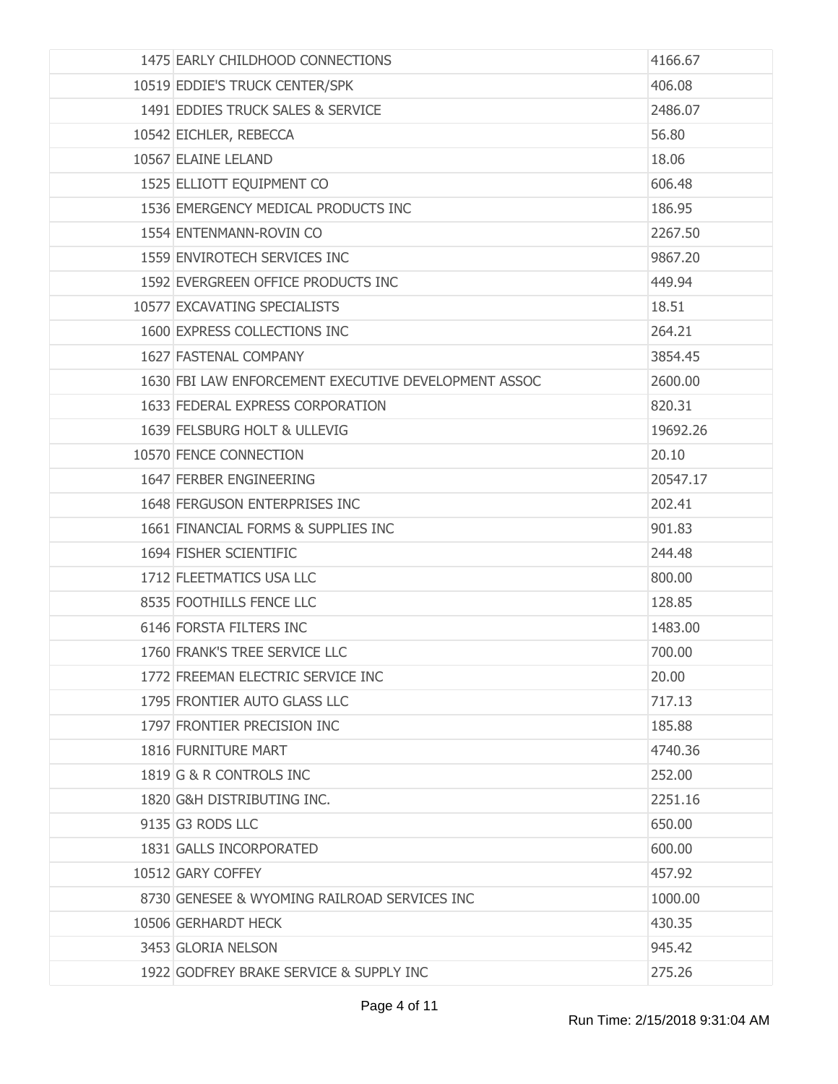| 1475 EARLY CHILDHOOD CONNECTIONS                     | 4166.67  |
|------------------------------------------------------|----------|
| 10519 EDDIE'S TRUCK CENTER/SPK                       | 406.08   |
| 1491 EDDIES TRUCK SALES & SERVICE                    | 2486.07  |
| 10542 EICHLER, REBECCA                               | 56.80    |
| 10567 ELAINE LELAND                                  | 18.06    |
| 1525 ELLIOTT EQUIPMENT CO                            | 606.48   |
| 1536 EMERGENCY MEDICAL PRODUCTS INC                  | 186.95   |
| 1554 ENTENMANN-ROVIN CO                              | 2267.50  |
| 1559 ENVIROTECH SERVICES INC                         | 9867.20  |
| 1592 EVERGREEN OFFICE PRODUCTS INC                   | 449.94   |
| 10577 EXCAVATING SPECIALISTS                         | 18.51    |
| 1600 EXPRESS COLLECTIONS INC                         | 264.21   |
| 1627 FASTENAL COMPANY                                | 3854.45  |
| 1630 FBI LAW ENFORCEMENT EXECUTIVE DEVELOPMENT ASSOC | 2600.00  |
| 1633 FEDERAL EXPRESS CORPORATION                     | 820.31   |
| 1639 FELSBURG HOLT & ULLEVIG                         | 19692.26 |
| 10570 FENCE CONNECTION                               | 20.10    |
| 1647 FERBER ENGINEERING                              | 20547.17 |
| 1648 FERGUSON ENTERPRISES INC                        | 202.41   |
| 1661 FINANCIAL FORMS & SUPPLIES INC                  | 901.83   |
| 1694 FISHER SCIENTIFIC                               | 244.48   |
| 1712 FLEETMATICS USA LLC                             | 800.00   |
| 8535 FOOTHILLS FENCE LLC                             | 128.85   |
| 6146 FORSTA FILTERS INC                              | 1483.00  |
| 1760 FRANK'S TREE SERVICE LLC                        | 700.00   |
| 1772 FREEMAN ELECTRIC SERVICE INC                    | 20.00    |
| 1795 FRONTIER AUTO GLASS LLC                         | 717.13   |
| 1797 FRONTIER PRECISION INC                          | 185.88   |
| 1816 FURNITURE MART                                  | 4740.36  |
| 1819 G & R CONTROLS INC                              | 252.00   |
| 1820 G&H DISTRIBUTING INC.                           | 2251.16  |
| 9135 G3 RODS LLC                                     | 650.00   |
| 1831 GALLS INCORPORATED                              | 600.00   |
| 10512 GARY COFFEY                                    | 457.92   |
| 8730 GENESEE & WYOMING RAILROAD SERVICES INC         | 1000.00  |
| 10506 GERHARDT HECK                                  | 430.35   |
| 3453 GLORIA NELSON                                   | 945.42   |
| 1922 GODFREY BRAKE SERVICE & SUPPLY INC              | 275.26   |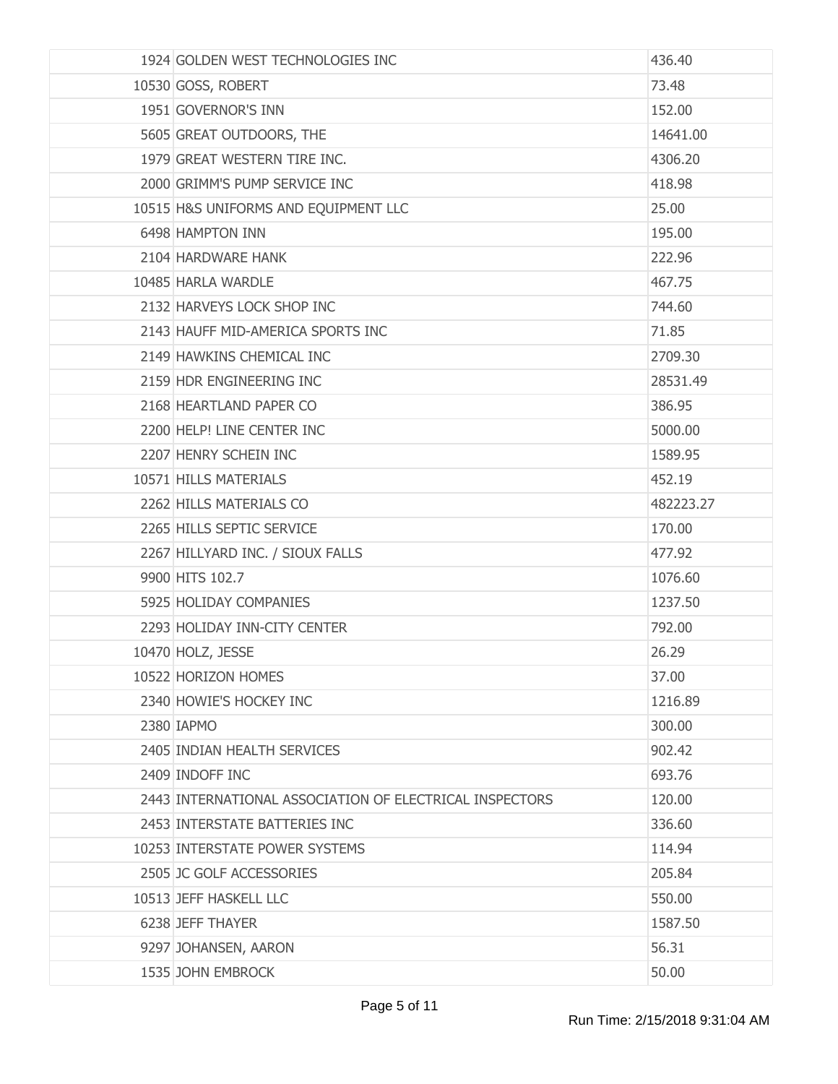| 1924 GOLDEN WEST TECHNOLOGIES INC                       | 436.40    |
|---------------------------------------------------------|-----------|
| 10530 GOSS, ROBERT                                      | 73.48     |
| 1951 GOVERNOR'S INN                                     | 152.00    |
| 5605 GREAT OUTDOORS, THE                                | 14641.00  |
| 1979 GREAT WESTERN TIRE INC.                            | 4306.20   |
| 2000 GRIMM'S PUMP SERVICE INC                           | 418.98    |
| 10515 H&S UNIFORMS AND EQUIPMENT LLC                    | 25.00     |
| 6498 HAMPTON INN                                        | 195.00    |
| 2104 HARDWARE HANK                                      | 222.96    |
| 10485 HARLA WARDLE                                      | 467.75    |
| 2132 HARVEYS LOCK SHOP INC                              | 744.60    |
| 2143 HAUFF MID-AMERICA SPORTS INC                       | 71.85     |
| 2149 HAWKINS CHEMICAL INC                               | 2709.30   |
| 2159 HDR ENGINEERING INC                                | 28531.49  |
| 2168 HEARTLAND PAPER CO                                 | 386.95    |
| 2200 HELP! LINE CENTER INC                              | 5000.00   |
| 2207 HENRY SCHEIN INC                                   | 1589.95   |
| 10571 HILLS MATERIALS                                   | 452.19    |
| 2262 HILLS MATERIALS CO                                 | 482223.27 |
| 2265 HILLS SEPTIC SERVICE                               | 170.00    |
| 2267 HILLYARD INC. / SIOUX FALLS                        | 477.92    |
| 9900 HITS 102.7                                         | 1076.60   |
| 5925 HOLIDAY COMPANIES                                  | 1237.50   |
| 2293 HOLIDAY INN-CITY CENTER                            | 792.00    |
| 10470 HOLZ, JESSE                                       | 26.29     |
| 10522 HORIZON HOMES                                     | 37.00     |
| 2340 HOWIE'S HOCKEY INC                                 | 1216.89   |
| 2380 IAPMO                                              | 300.00    |
| 2405 INDIAN HEALTH SERVICES                             | 902.42    |
| 2409 INDOFF INC                                         | 693.76    |
| 2443 INTERNATIONAL ASSOCIATION OF ELECTRICAL INSPECTORS | 120,00    |
| 2453 INTERSTATE BATTERIES INC                           | 336.60    |
| 10253 INTERSTATE POWER SYSTEMS                          | 114.94    |
| 2505 JC GOLF ACCESSORIES                                | 205.84    |
| 10513 JEFF HASKELL LLC                                  | 550.00    |
| 6238 JEFF THAYER                                        | 1587.50   |
| 9297 JOHANSEN, AARON                                    | 56.31     |
| 1535 JOHN EMBROCK                                       | 50.00     |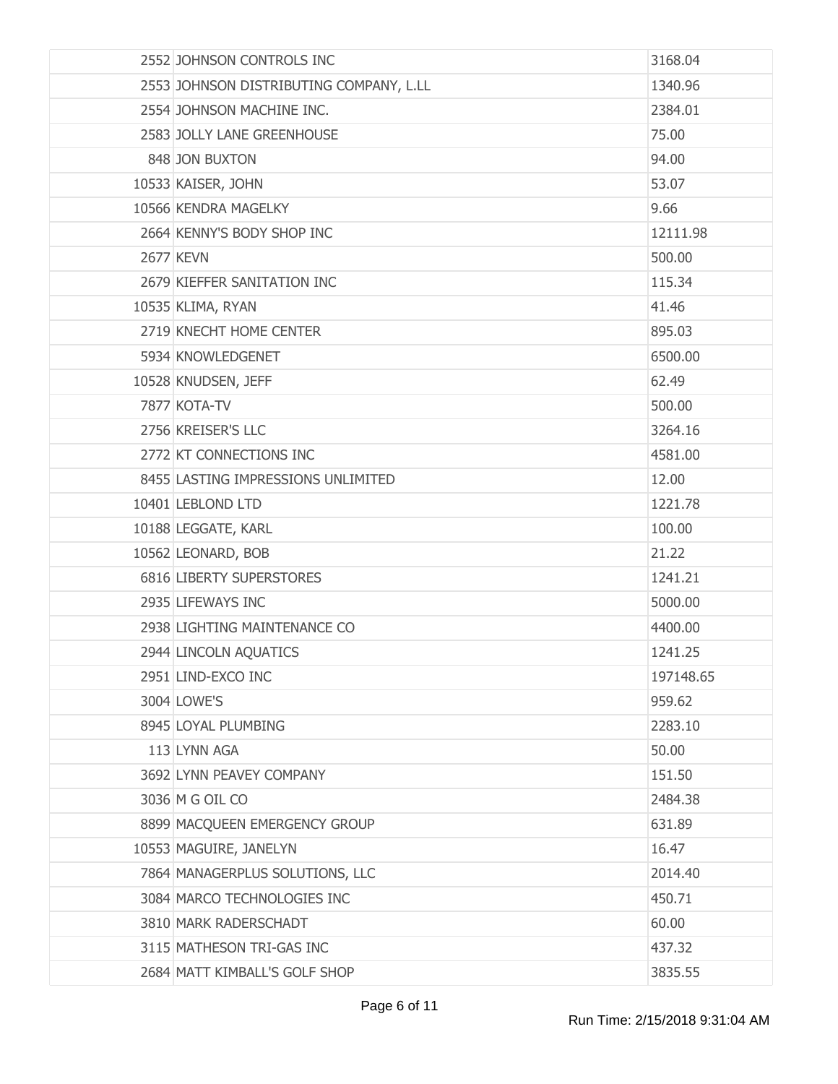| 2552 JOHNSON CONTROLS INC               | 3168.04   |
|-----------------------------------------|-----------|
| 2553 JOHNSON DISTRIBUTING COMPANY, L.LL | 1340.96   |
| 2554 JOHNSON MACHINE INC.               | 2384.01   |
| 2583 JOLLY LANE GREENHOUSE              | 75.00     |
| 848 JON BUXTON                          | 94.00     |
| 10533 KAISER, JOHN                      | 53.07     |
| 10566 KENDRA MAGELKY                    | 9.66      |
| 2664 KENNY'S BODY SHOP INC              | 12111.98  |
| <b>2677 KEVN</b>                        | 500.00    |
| 2679 KIEFFER SANITATION INC             | 115.34    |
| 10535 KLIMA, RYAN                       | 41.46     |
| 2719 KNECHT HOME CENTER                 | 895.03    |
| 5934 KNOWLEDGENET                       | 6500.00   |
| 10528 KNUDSEN, JEFF                     | 62.49     |
| 7877 KOTA-TV                            | 500.00    |
| 2756 KREISER'S LLC                      | 3264.16   |
| 2772 KT CONNECTIONS INC                 | 4581.00   |
| 8455 LASTING IMPRESSIONS UNLIMITED      | 12.00     |
| 10401 LEBLOND LTD                       | 1221.78   |
| 10188 LEGGATE, KARL                     | 100.00    |
| 10562 LEONARD, BOB                      | 21.22     |
| 6816 LIBERTY SUPERSTORES                | 1241.21   |
| 2935 LIFEWAYS INC                       | 5000.00   |
| 2938 LIGHTING MAINTENANCE CO            | 4400.00   |
| 2944 LINCOLN AQUATICS                   | 1241.25   |
| 2951 LIND-EXCO INC                      | 197148.65 |
| 3004 LOWE'S                             | 959.62    |
| 8945 LOYAL PLUMBING                     | 2283.10   |
| 113 LYNN AGA                            | 50.00     |
| 3692 LYNN PEAVEY COMPANY                | 151.50    |
| 3036 M G OIL CO                         | 2484.38   |
| 8899 MACQUEEN EMERGENCY GROUP           | 631.89    |
| 10553 MAGUIRE, JANELYN                  | 16.47     |
| 7864 MANAGERPLUS SOLUTIONS, LLC         | 2014.40   |
| 3084 MARCO TECHNOLOGIES INC             | 450.71    |
| 3810 MARK RADERSCHADT                   | 60.00     |
| 3115 MATHESON TRI-GAS INC               | 437.32    |
| 2684 MATT KIMBALL'S GOLF SHOP           | 3835.55   |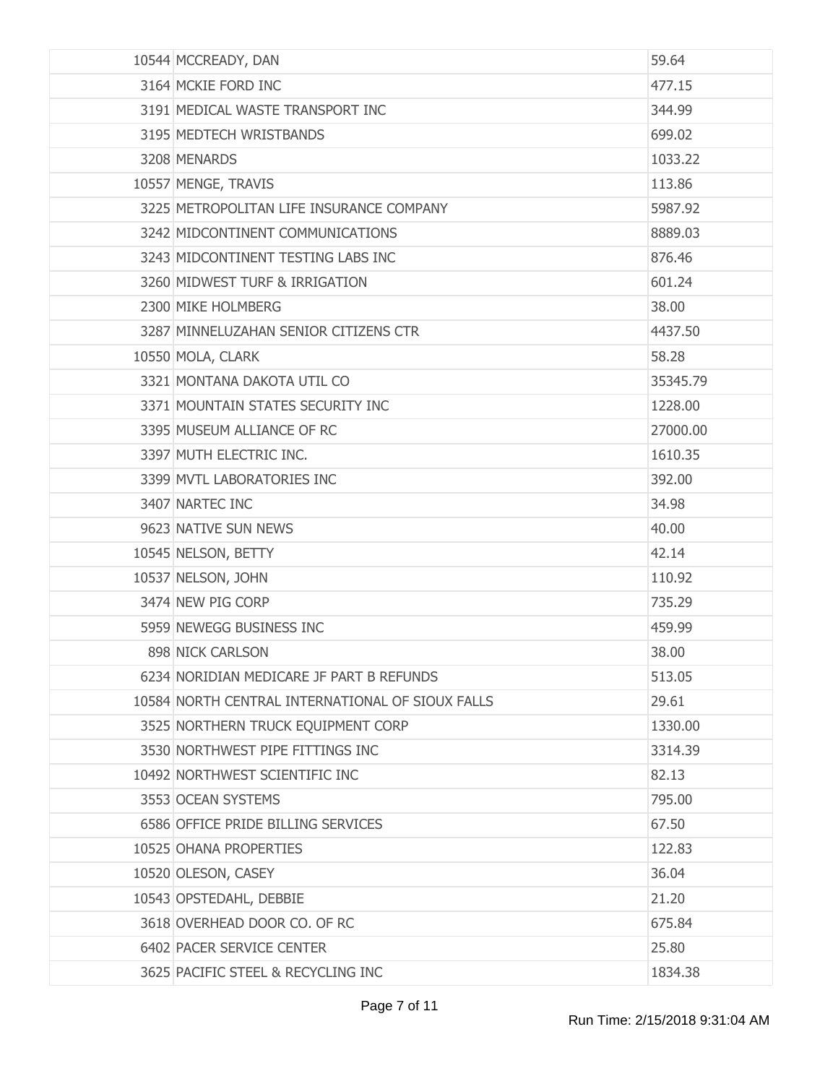| 10544 MCCREADY, DAN                              | 59.64    |
|--------------------------------------------------|----------|
| 3164 MCKIE FORD INC                              | 477.15   |
| 3191 MEDICAL WASTE TRANSPORT INC                 | 344.99   |
| 3195 MEDTECH WRISTBANDS                          | 699.02   |
| 3208 MENARDS                                     | 1033.22  |
| 10557 MENGE, TRAVIS                              | 113.86   |
| 3225 METROPOLITAN LIFE INSURANCE COMPANY         | 5987.92  |
| 3242 MIDCONTINENT COMMUNICATIONS                 | 8889.03  |
| 3243 MIDCONTINENT TESTING LABS INC               | 876.46   |
| 3260 MIDWEST TURF & IRRIGATION                   | 601.24   |
| 2300 MIKE HOLMBERG                               | 38.00    |
| 3287 MINNELUZAHAN SENIOR CITIZENS CTR            | 4437.50  |
| 10550 MOLA, CLARK                                | 58.28    |
| 3321 MONTANA DAKOTA UTIL CO                      | 35345.79 |
| 3371 MOUNTAIN STATES SECURITY INC                | 1228.00  |
| 3395 MUSEUM ALLIANCE OF RC                       | 27000.00 |
| 3397 MUTH ELECTRIC INC.                          | 1610.35  |
| 3399 MVTL LABORATORIES INC                       | 392.00   |
| 3407 NARTEC INC                                  | 34.98    |
| 9623 NATIVE SUN NEWS                             | 40.00    |
| 10545 NELSON, BETTY                              | 42.14    |
| 10537 NELSON, JOHN                               | 110.92   |
| 3474 NEW PIG CORP                                | 735.29   |
| 5959 NEWEGG BUSINESS INC                         | 459.99   |
| 898 NICK CARLSON                                 | 38.00    |
| 6234 NORIDIAN MEDICARE JF PART B REFUNDS         | 513.05   |
| 10584 NORTH CENTRAL INTERNATIONAL OF SIOUX FALLS | 29.61    |
| 3525 NORTHERN TRUCK EQUIPMENT CORP               | 1330.00  |
| 3530 NORTHWEST PIPE FITTINGS INC                 | 3314.39  |
| 10492 NORTHWEST SCIENTIFIC INC                   | 82.13    |
| 3553 OCEAN SYSTEMS                               | 795.00   |
| 6586 OFFICE PRIDE BILLING SERVICES               | 67.50    |
| 10525 OHANA PROPERTIES                           | 122.83   |
| 10520 OLESON, CASEY                              | 36.04    |
| 10543 OPSTEDAHL, DEBBIE                          | 21.20    |
| 3618 OVERHEAD DOOR CO. OF RC                     | 675.84   |
| 6402 PACER SERVICE CENTER                        | 25.80    |
| 3625 PACIFIC STEEL & RECYCLING INC               | 1834.38  |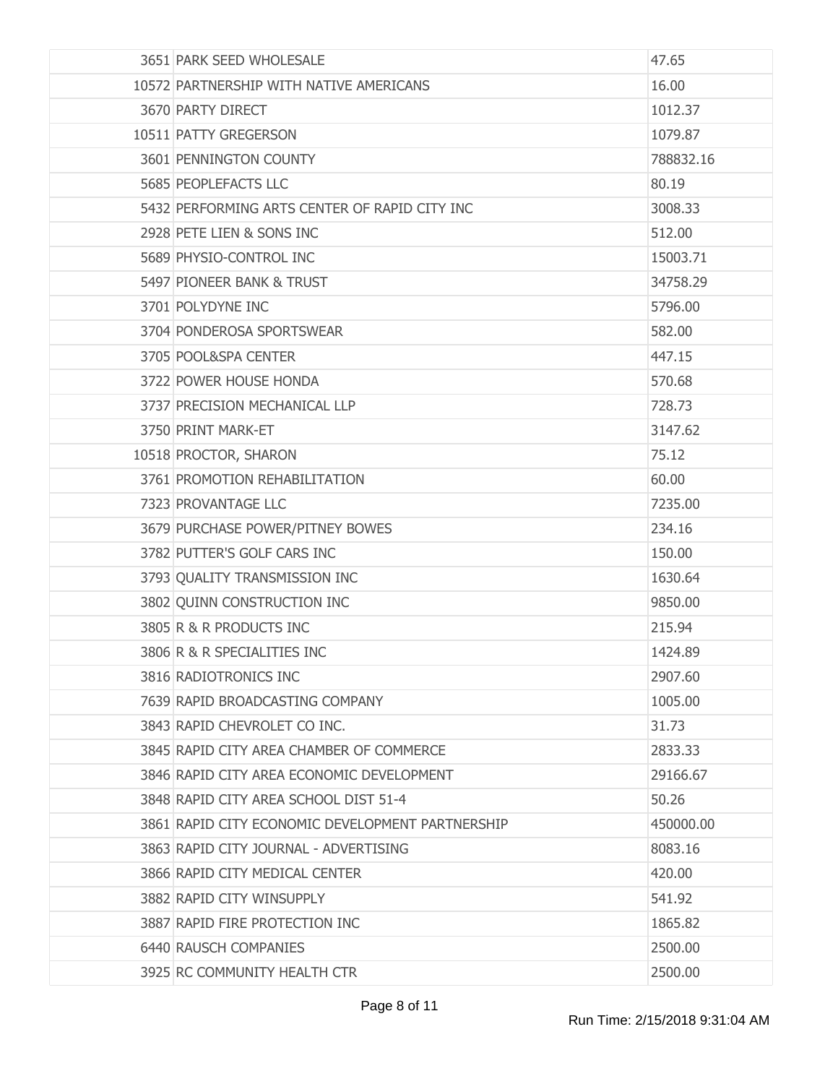| 3651 PARK SEED WHOLESALE                         | 47.65     |
|--------------------------------------------------|-----------|
| 10572 PARTNERSHIP WITH NATIVE AMERICANS          | 16.00     |
| 3670 PARTY DIRECT                                | 1012.37   |
| 10511 PATTY GREGERSON                            | 1079.87   |
| 3601 PENNINGTON COUNTY                           | 788832.16 |
| 5685 PEOPLEFACTS LLC                             | 80.19     |
| 5432 PERFORMING ARTS CENTER OF RAPID CITY INC    | 3008.33   |
| 2928 PETE LIEN & SONS INC                        | 512.00    |
| 5689 PHYSIO-CONTROL INC                          | 15003.71  |
| 5497 PIONEER BANK & TRUST                        | 34758.29  |
| 3701 POLYDYNE INC                                | 5796.00   |
| 3704 PONDEROSA SPORTSWEAR                        | 582.00    |
| 3705 POOL&SPA CENTER                             | 447.15    |
| 3722 POWER HOUSE HONDA                           | 570.68    |
| 3737 PRECISION MECHANICAL LLP                    | 728.73    |
| 3750 PRINT MARK-ET                               | 3147.62   |
| 10518 PROCTOR, SHARON                            | 75.12     |
| 3761 PROMOTION REHABILITATION                    | 60.00     |
| 7323 PROVANTAGE LLC                              | 7235.00   |
| 3679 PURCHASE POWER/PITNEY BOWES                 | 234.16    |
| 3782 PUTTER'S GOLF CARS INC                      | 150.00    |
| 3793 QUALITY TRANSMISSION INC                    | 1630.64   |
| 3802 QUINN CONSTRUCTION INC                      | 9850.00   |
| 3805 R & R PRODUCTS INC                          | 215.94    |
| 3806 R & R SPECIALITIES INC                      | 1424.89   |
| 3816 RADIOTRONICS INC                            | 2907.60   |
| 7639 RAPID BROADCASTING COMPANY                  | 1005.00   |
| 3843 RAPID CHEVROLET CO INC.                     | 31.73     |
| 3845 RAPID CITY AREA CHAMBER OF COMMERCE         | 2833.33   |
| 3846 RAPID CITY AREA ECONOMIC DEVELOPMENT        | 29166.67  |
| 3848 RAPID CITY AREA SCHOOL DIST 51-4            | 50.26     |
| 3861 RAPID CITY ECONOMIC DEVELOPMENT PARTNERSHIP | 450000.00 |
| 3863 RAPID CITY JOURNAL - ADVERTISING            | 8083.16   |
| 3866 RAPID CITY MEDICAL CENTER                   | 420.00    |
| 3882 RAPID CITY WINSUPPLY                        | 541.92    |
| 3887 RAPID FIRE PROTECTION INC                   | 1865.82   |
| 6440 RAUSCH COMPANIES                            | 2500.00   |
| 3925 RC COMMUNITY HEALTH CTR                     | 2500.00   |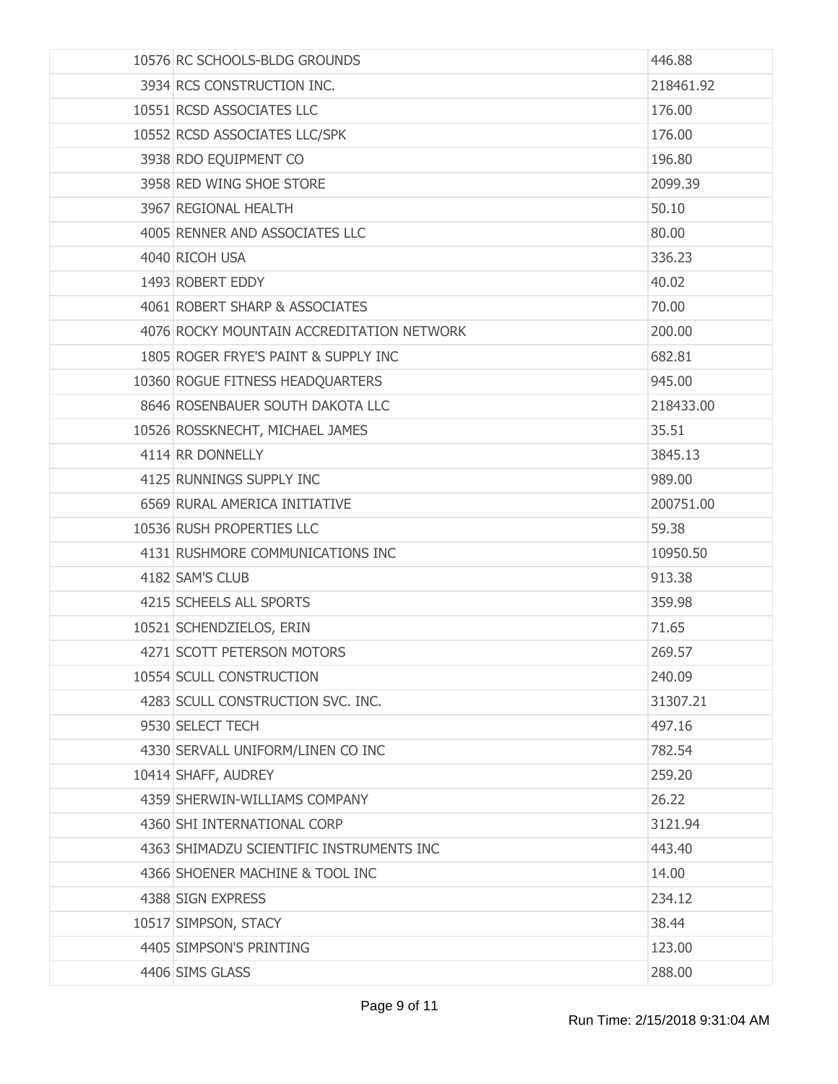| 10576 RC SCHOOLS-BLDG GROUNDS             | 446.88    |
|-------------------------------------------|-----------|
| 3934 RCS CONSTRUCTION INC.                | 218461.92 |
| 10551 RCSD ASSOCIATES LLC                 | 176.00    |
| 10552 RCSD ASSOCIATES LLC/SPK             | 176.00    |
| 3938 RDO EQUIPMENT CO                     | 196.80    |
| 3958 RED WING SHOE STORE                  | 2099.39   |
| 3967 REGIONAL HEALTH                      | 50.10     |
| 4005 RENNER AND ASSOCIATES LLC            | 80.00     |
| 4040 RICOH USA                            | 336.23    |
| 1493 ROBERT EDDY                          | 40.02     |
| 4061 ROBERT SHARP & ASSOCIATES            | 70.00     |
| 4076 ROCKY MOUNTAIN ACCREDITATION NETWORK | 200.00    |
| 1805 ROGER FRYE'S PAINT & SUPPLY INC      | 682.81    |
| 10360 ROGUE FITNESS HEADQUARTERS          | 945.00    |
| 8646 ROSENBAUER SOUTH DAKOTA LLC          | 218433.00 |
| 10526 ROSSKNECHT, MICHAEL JAMES           | 35.51     |
| 4114 RR DONNELLY                          | 3845.13   |
| 4125 RUNNINGS SUPPLY INC                  | 989.00    |
| 6569 RURAL AMERICA INITIATIVE             | 200751.00 |
| 10536 RUSH PROPERTIES LLC                 | 59.38     |
| 4131 RUSHMORE COMMUNICATIONS INC          | 10950.50  |
| 4182 SAM'S CLUB                           | 913.38    |
| 4215 SCHEELS ALL SPORTS                   | 359.98    |
| 10521 SCHENDZIELOS, ERIN                  | 71.65     |
| 4271 SCOTT PETERSON MOTORS                | 269.57    |
| 10554 SCULL CONSTRUCTION                  | 240.09    |
| 4283 SCULL CONSTRUCTION SVC. INC.         | 31307.21  |
| 9530 SELECT TECH                          | 497.16    |
| 4330 SERVALL UNIFORM/LINEN CO INC         | 782.54    |
| 10414 SHAFF, AUDREY                       | 259.20    |
| 4359 SHERWIN-WILLIAMS COMPANY             | 26.22     |
| 4360 SHI INTERNATIONAL CORP               | 3121.94   |
| 4363 SHIMADZU SCIENTIFIC INSTRUMENTS INC  | 443.40    |
| 4366 SHOENER MACHINE & TOOL INC           | 14.00     |
| 4388 SIGN EXPRESS                         | 234.12    |
| 10517 SIMPSON, STACY                      | 38.44     |
| 4405 SIMPSON'S PRINTING                   | 123.00    |
| 4406 SIMS GLASS                           | 288.00    |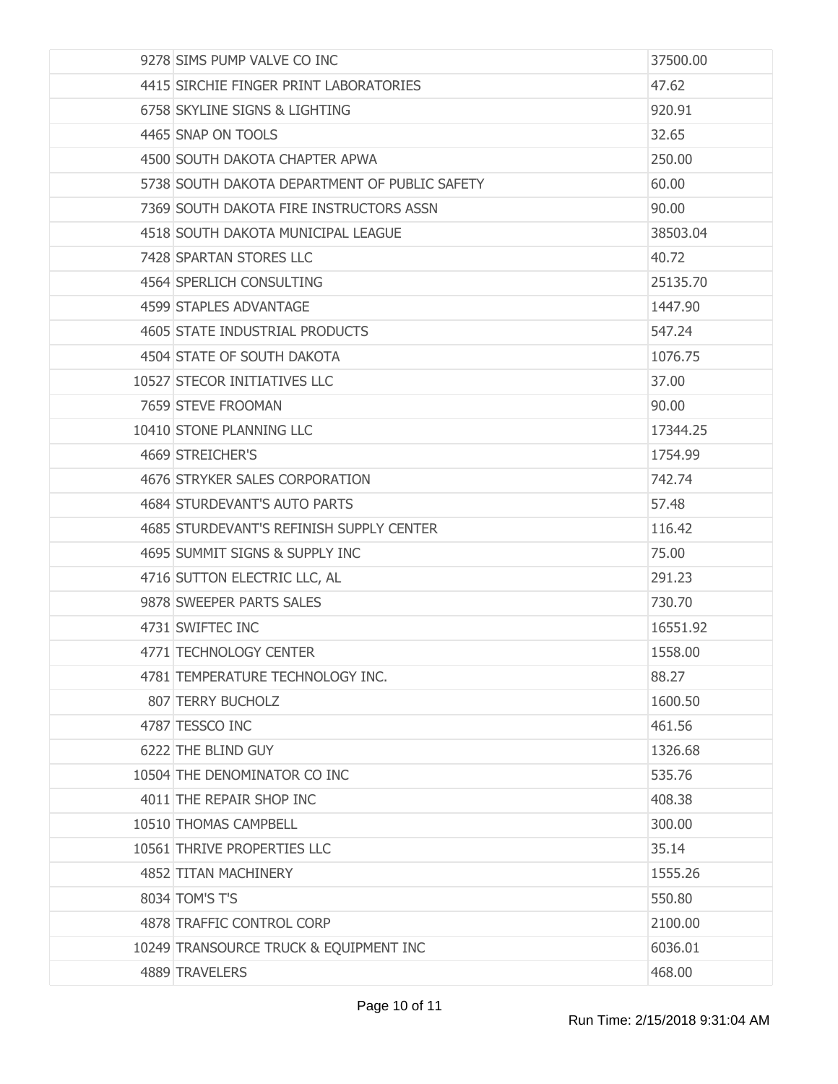| 9278 SIMS PUMP VALVE CO INC                   | 37500.00 |
|-----------------------------------------------|----------|
| 4415 SIRCHIE FINGER PRINT LABORATORIES        | 47.62    |
| 6758 SKYLINE SIGNS & LIGHTING                 | 920.91   |
| 4465 SNAP ON TOOLS                            | 32.65    |
| 4500 SOUTH DAKOTA CHAPTER APWA                | 250.00   |
| 5738 SOUTH DAKOTA DEPARTMENT OF PUBLIC SAFETY | 60.00    |
| 7369 SOUTH DAKOTA FIRE INSTRUCTORS ASSN       | 90.00    |
| 4518 SOUTH DAKOTA MUNICIPAL LEAGUE            | 38503.04 |
| 7428 SPARTAN STORES LLC                       | 40.72    |
| 4564 SPERLICH CONSULTING                      | 25135.70 |
| 4599 STAPLES ADVANTAGE                        | 1447.90  |
| 4605 STATE INDUSTRIAL PRODUCTS                | 547.24   |
| 4504 STATE OF SOUTH DAKOTA                    | 1076.75  |
| 10527 STECOR INITIATIVES LLC                  | 37.00    |
| 7659 STEVE FROOMAN                            | 90.00    |
| 10410 STONE PLANNING LLC                      | 17344.25 |
| 4669 STREICHER'S                              | 1754.99  |
| 4676 STRYKER SALES CORPORATION                | 742.74   |
| 4684 STURDEVANT'S AUTO PARTS                  | 57.48    |
| 4685 STURDEVANT'S REFINISH SUPPLY CENTER      | 116.42   |
| 4695 SUMMIT SIGNS & SUPPLY INC                | 75.00    |
| 4716 SUTTON ELECTRIC LLC, AL                  | 291.23   |
| 9878 SWEEPER PARTS SALES                      | 730.70   |
| 4731 SWIFTEC INC                              | 16551.92 |
| 4771 TECHNOLOGY CENTER                        | 1558,00  |
| 4781 TEMPERATURE TECHNOLOGY INC.              | 88.27    |
| 807 TERRY BUCHOLZ                             | 1600.50  |
| 4787 TESSCO INC                               | 461.56   |
| 6222 THE BLIND GUY                            | 1326.68  |
| 10504 THE DENOMINATOR CO INC                  | 535.76   |
| 4011 THE REPAIR SHOP INC                      | 408.38   |
| 10510 THOMAS CAMPBELL                         | 300.00   |
| 10561 THRIVE PROPERTIES LLC                   | 35.14    |
| 4852 TITAN MACHINERY                          | 1555.26  |
| 8034 TOM'S T'S                                | 550.80   |
| 4878 TRAFFIC CONTROL CORP                     | 2100.00  |
| 10249 TRANSOURCE TRUCK & EQUIPMENT INC        | 6036.01  |
| 4889 TRAVELERS                                | 468.00   |